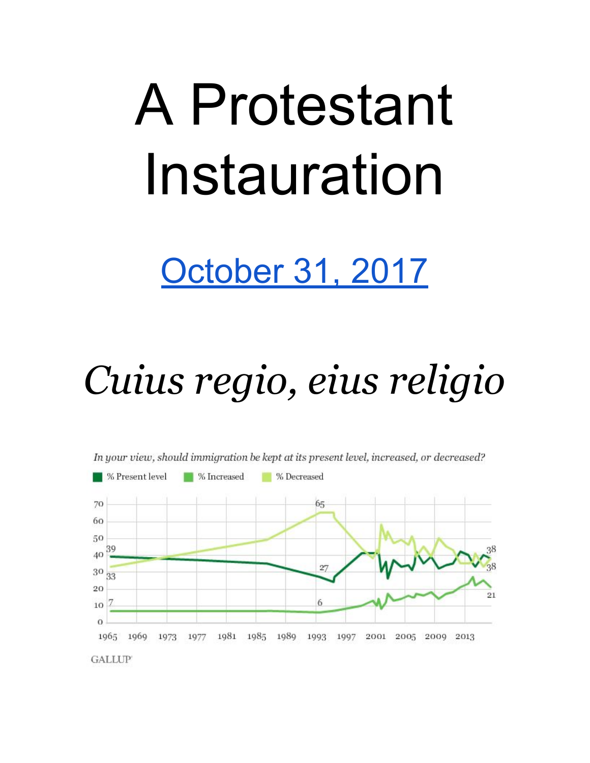# A Protestant Instauration

## [October 31, 2017](https://www.history.com/topics/reformation/martin-luther-and-the-95-theses#section_4)

## *Cuius regio, eius religio*



**GALLUP**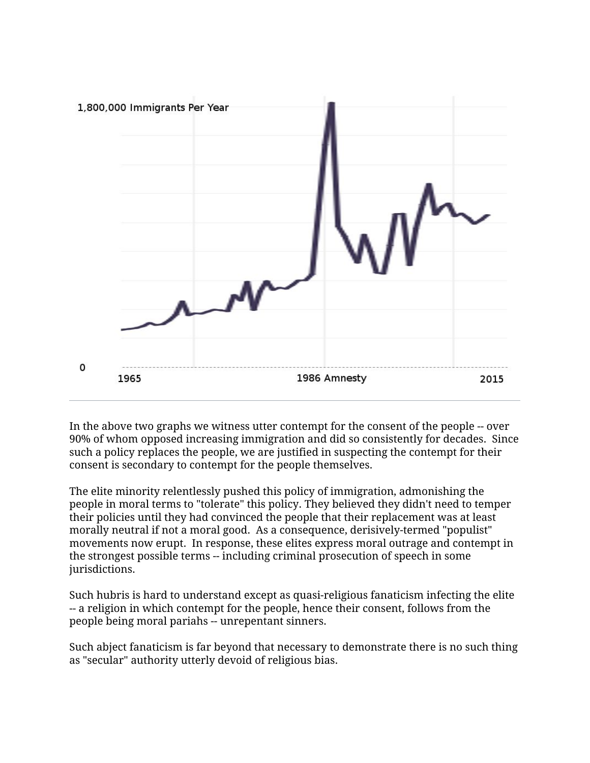

In the above two graphs we witness utter contempt for the consent of the people -- over 90% of whom opposed increasing immigration and did so consistently for decades. Since such a policy replaces the people, we are justified in suspecting the contempt for their consent is secondary to contempt for the people themselves.

The elite minority relentlessly pushed this policy of immigration, admonishing the people in moral terms to "tolerate" this policy. They believed they didn't need to temper their policies until they had convinced the people that their replacement was at least morally neutral if not a moral good. As a consequence, derisively-termed "populist" movements now erupt. In response, these elites express moral outrage and contempt in the strongest possible terms -- including criminal prosecution of speech in some jurisdictions.

Such hubris is hard to understand except as quasi-religious fanaticism infecting the elite -- a religion in which contempt for the people, hence their consent, follows from the people being moral pariahs -- unrepentant sinners.

Such abject fanaticism is far beyond that necessary to demonstrate there is no such thing as "secular" authority utterly devoid of religious bias.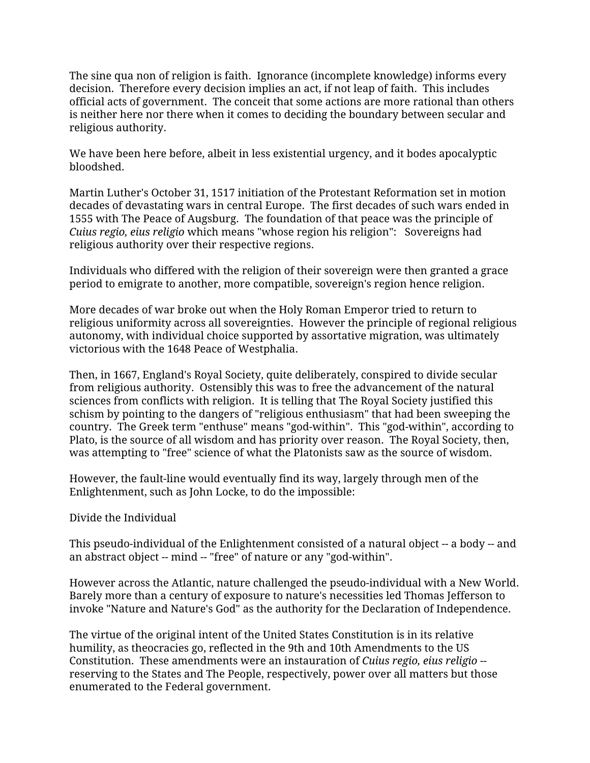The sine qua non of religion is faith. Ignorance (incomplete knowledge) informs every decision. Therefore every decision implies an act, if not leap of faith. This includes official acts of government. The conceit that some actions are more rational than others is neither here nor there when it comes to deciding the boundary between secular and religious authority.

We have been here before, albeit in less existential urgency, and it bodes apocalyptic bloodshed.

Martin Luther's October 31, 1517 initiation of the Protestant Reformation set in motion decades of devastating wars in central Europe. The first decades of such wars ended in 1555 with The Peace of Augsburg. The foundation of that peace was the principle of *Cuius regio, eius religio* which means "whose region his religion": Sovereigns had religious authority over their respective regions.

Individuals who differed with the religion of their sovereign were then granted a grace period to emigrate to another, more compatible, sovereign's region hence religion.

More decades of war broke out when the Holy Roman Emperor tried to return to religious uniformity across all sovereignties. However the principle of regional religious autonomy, with individual choice supported by assortative migration, was ultimately victorious with the 1648 Peace of Westphalia.

Then, in 1667, England's Royal Society, quite deliberately, conspired to divide secular from religious authority. Ostensibly this was to free the advancement of the natural sciences from conflicts with religion. It is telling that The Royal Society justified this schism by pointing to the dangers of "religious enthusiasm" that had been sweeping the country. The Greek term "enthuse" means "god-within". This "god-within", according to Plato, is the source of all wisdom and has priority over reason. The Royal Society, then, was attempting to "free" science of what the Platonists saw as the source of wisdom.

However, the fault-line would eventually find its way, largely through men of the Enlightenment, such as John Locke, to do the impossible:

#### Divide the Individual

This pseudo-individual of the Enlightenment consisted of a natural object -- a body -- and an abstract object -- mind -- "free" of nature or any "god-within".

However across the Atlantic, nature challenged the pseudo-individual with a New World. Barely more than a century of exposure to nature's necessities led Thomas Jefferson to invoke "Nature and Nature's God" as the authority for the Declaration of Independence.

The virtue of the original intent of the United States Constitution is in its relative humility, as theocracies go, reflected in the 9th and 10th Amendments to the US Constitution. These amendments were an instauration of *Cuius regio, eius religio* - reserving to the States and The People, respectively, power over all matters but those enumerated to the Federal government.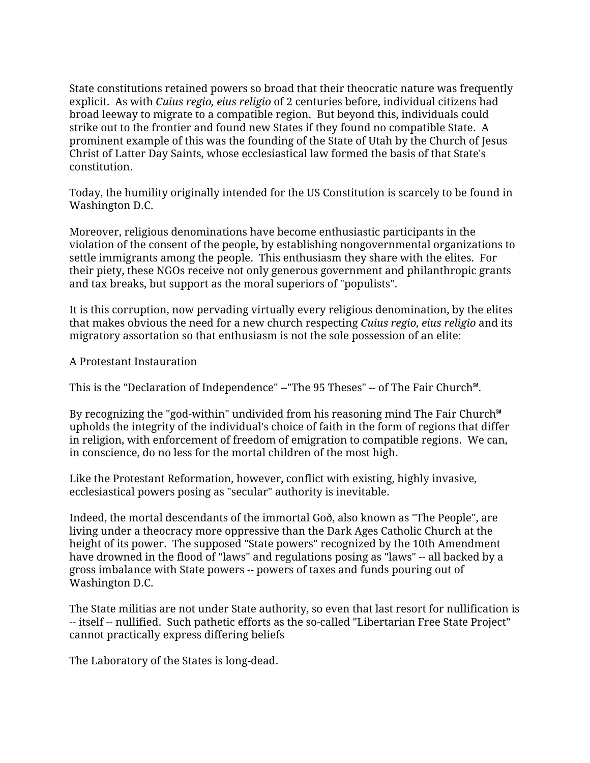State constitutions retained powers so broad that their theocratic nature was frequently explicit. As with *Cuius regio, eius religio* of 2 centuries before, individual citizens had broad leeway to migrate to a compatible region. But beyond this, individuals could strike out to the frontier and found new States if they found no compatible State. A prominent example of this was the founding of the State of Utah by the Church of Jesus Christ of Latter Day Saints, whose ecclesiastical law formed the basis of that State's constitution.

Today, the humility originally intended for the US Constitution is scarcely to be found in Washington D.C.

Moreover, religious denominations have become enthusiastic participants in the violation of the consent of the people, by establishing nongovernmental organizations to settle immigrants among the people. This enthusiasm they share with the elites. For their piety, these NGOs receive not only generous government and philanthropic grants and tax breaks, but support as the moral superiors of "populists".

It is this corruption, now pervading virtually every religious denomination, by the elites that makes obvious the need for a new church respecting *Cuius regio, eius religio* and its migratory assortation so that enthusiasm is not the sole possession of an elite:

A Protestant Instauration

This is the "Declaration of Independence" -- "The 95 Theses" -- of The Fair Church<sup>®</sup>.

By recognizing the "god-within" undivided from his reasoning mind The Fair Church℠ upholds the integrity of the individual's choice of faith in the form of regions that differ in religion, with enforcement of freedom of emigration to compatible regions. We can, in conscience, do no less for the mortal children of the most high.

Like the Protestant Reformation, however, conflict with existing, highly invasive, ecclesiastical powers posing as "secular" authority is inevitable.

Indeed, the mortal descendants of the immortal Goð, also known as "The People", are living under a theocracy more oppressive than the Dark Ages Catholic Church at the height of its power. The supposed "State powers" recognized by the 10th Amendment have drowned in the flood of "laws" and regulations posing as "laws" -- all backed by a gross imbalance with State powers -- powers of taxes and funds pouring out of Washington D.C.

The State militias are not under State authority, so even that last resort for nullification is -- itself -- nullified. Such pathetic efforts as the so-called "Libertarian Free State Project" cannot practically express differing beliefs

The Laboratory of the States is long-dead.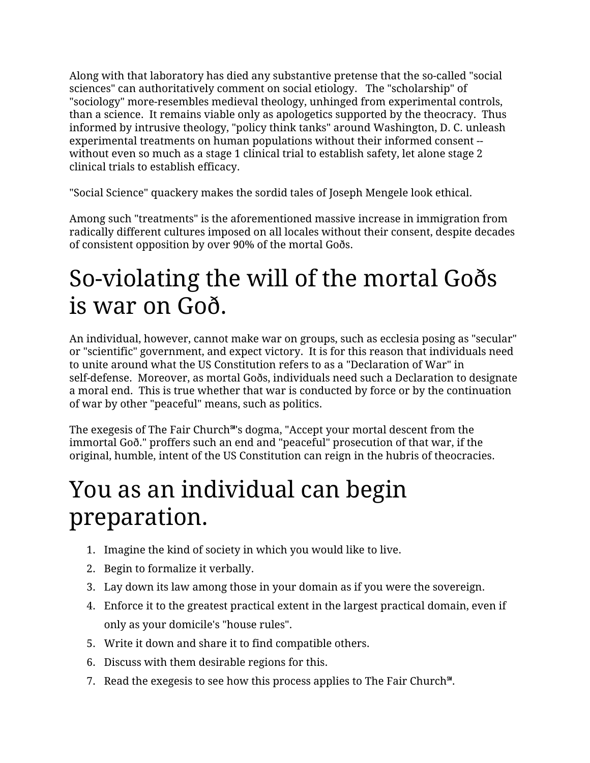Along with that laboratory has died any substantive pretense that the so-called "social sciences" can authoritatively comment on social etiology. The "scholarship" of "sociology" more-resembles medieval theology, unhinged from experimental controls, than a science. It remains viable only as apologetics supported by the theocracy. Thus informed by intrusive theology, "policy think tanks" around Washington, D. C. unleash experimental treatments on human populations without their informed consent - without even so much as a stage 1 clinical trial to establish safety, let alone stage 2 clinical trials to establish efficacy.

"Social Science" quackery makes the sordid tales of Joseph Mengele look ethical.

Among such "treatments" is the aforementioned massive increase in immigration from radically different cultures imposed on all locales without their consent, despite decades of consistent opposition by over 90% of the mortal Goðs.

### So-violating the will of the mortal Goðs is war on Goð.

An individual, however, cannot make war on groups, such as ecclesia posing as "secular" or "scientific" government, and expect victory. It is for this reason that individuals need to unite around what the US Constitution refers to as a "Declaration of War" in self-defense. Moreover, as mortal Goðs, individuals need such a Declaration to designate a moral end. This is true whether that war is conducted by force or by the continuation of war by other "peaceful" means, such as politics.

The exegesis of The Fair Church℠'s dogma, "Accept your mortal descent from the immortal Goð." proffers such an end and "peaceful" prosecution of that war, if the original, humble, intent of the US Constitution can reign in the hubris of theocracies.

## You as an individual can begin preparation.

- 1. Imagine the kind of society in which you would like to live.
- 2. Begin to formalize it verbally.
- 3. Lay down its law among those in your domain as if you were the sovereign.
- 4. Enforce it to the greatest practical extent in the largest practical domain, even if only as your domicile's "house rules".
- 5. Write it down and share it to find compatible others.
- 6. Discuss with them desirable regions for this.
- 7. Read the exegesis to see how this process applies to The Fair Church℠.